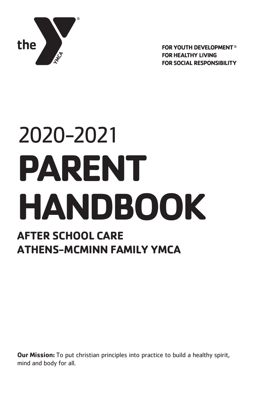

**FOR YOUTH DEVELOPMENT® FOR HEALTHY LIVING FOR SOCIAL RESPONSIBILITY** 

# 2020-2021 **PARENT HANDBOOK AFTER SCHOOL CARE ATHENS-MCMINN FAMILY YMCA**

**Our Mission:** To put christian principles into practice to build a healthy spirit, mind and body for all.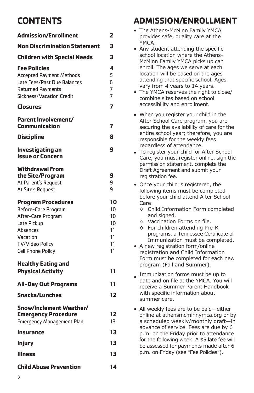# **CONTENTS**

| <b>Admission/Enrollment</b>                                                                                                                                                | 2                                            |
|----------------------------------------------------------------------------------------------------------------------------------------------------------------------------|----------------------------------------------|
| <b>Non Discrimination Statement</b>                                                                                                                                        | 3                                            |
| <b>Children with Special Needs</b>                                                                                                                                         | 3                                            |
| <b>Fee Policies</b><br><b>Accepted Payment Methods</b><br>Late Fees/Past Due Balances<br><b>Returned Payments</b><br><b>Sickness/Vacation Credit</b>                       | 4<br>5<br>6<br>7<br>7                        |
| <b>Closures</b>                                                                                                                                                            | 7                                            |
| Parent Involvement/<br>Communication                                                                                                                                       | 7                                            |
| <b>Discipline</b>                                                                                                                                                          | 8                                            |
| Investigating an<br><b>Issue or Concern</b>                                                                                                                                | 9                                            |
| <b>Withdrawal From</b><br>the Site/Program<br>At Parent's Request<br>At Site's Request                                                                                     | 9<br>9<br>9                                  |
| <b>Program Procedures</b><br>Before-Care Program<br>After-Care Program<br>Late Pickup<br><b>Absences</b><br>Vacation<br><b>TV/Video Policy</b><br><b>Cell Phone Policy</b> | 10<br>10<br>10<br>10<br>11<br>11<br>11<br>11 |
| <b>Healthy Eating and</b><br><b>Physical Activity</b>                                                                                                                      | 11                                           |
| <b>All-Day Out Programs</b>                                                                                                                                                | 11                                           |
| <b>Snacks/Lunches</b>                                                                                                                                                      | 12                                           |
| Snow/Inclement Weather/<br><b>Emergency Procedure</b><br><b>Emergency Management Plan</b>                                                                                  | 12<br>13                                     |
| <b>Insurance</b>                                                                                                                                                           | 13                                           |
| <b>Injury</b>                                                                                                                                                              | 13                                           |
| <b>Illness</b>                                                                                                                                                             | 13                                           |
| <b>Child Abuse Prevention</b>                                                                                                                                              | 14                                           |

# **ADMISSION/ENROLLMENT**

| ٠         | The Athens-McMinn Family YMCA<br>provides safe, quality care at the<br>YMCA.                                                                                                                                                                                                                                                                                               |
|-----------|----------------------------------------------------------------------------------------------------------------------------------------------------------------------------------------------------------------------------------------------------------------------------------------------------------------------------------------------------------------------------|
|           | Any student attending the specific<br>school location where the Athens-<br>McMinn Family YMCA picks up can<br>enroll. The ages we serve at each<br>location will be based on the ages<br>attending that specific school. Ages<br>vary from 4 years to 14 years.<br>The YMCA reserves the right to close/<br>combine sites based on school<br>accessibility and enrollment. |
| ٠         | When you register your child in the<br>After School Care program, you are<br>securing the availability of care for the<br>entire school year; therefore, you are<br>responsible for the weekly fees<br>regardless of attendance.                                                                                                                                           |
|           | To register your child for After School<br>Care, you must register online, sign the<br>permission statement, complete the<br>Draft Agreement and submit your<br>registration fee.                                                                                                                                                                                          |
| ٠         | Once your child is registered, the<br>following items must be completed<br>before your child attend After School<br>Care:                                                                                                                                                                                                                                                  |
|           | Child Information Form completed<br>$\Diamond$<br>and signed.                                                                                                                                                                                                                                                                                                              |
|           | Vaccination Forms on file.<br>♦<br>$\Diamond$<br>For children attending Pre-K<br>programs, a Tennessee Certificate of<br>Immunization must be completed.                                                                                                                                                                                                                   |
|           | A new registration form/online<br>registration and Child Information<br>Form must be completed for each new<br>program (Fall and Summer).                                                                                                                                                                                                                                  |
|           | Immunization forms must be up to<br>date and on file at the YMCA. You will<br>receive a Summer Parent Handbook<br>with specific information about<br>summer care.                                                                                                                                                                                                          |
| $\bullet$ | All weekly fees are to be paid-either<br>online at athensmcminnymca.org or by<br>a scheduled weekly/monthly draft-in<br>advance of service. Fees are due by 6<br>p.m. on the Friday prior to attendance<br>for the following week. A \$5 late fee will<br>be assessed for payments made after 6<br>p.m. on Friday (see "Fee Policies").                                    |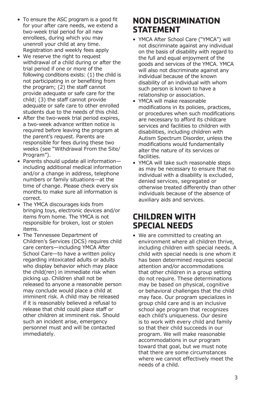- <span id="page-2-0"></span>• To ensure the ASC program is a good fit for your after care needs, we extend a two-week trial period for all new enrollees, during which you may unenroll your child at any time. Registration and weekly fees apply
- We reserve the right to request withdrawal of a child during or after the trial period if one or more of the following conditions exists: (1) the child is not participating in or benefiting from the program; (2) the staff cannot provide adequate or safe care for the child; (3) the staff cannot provide adequate or safe care to other enrolled students due to the needs of this child.
- After the two-week trial period expires, a two-week advance written notice is required before leaving the program at the parent's request. Parents are responsible for fees during these two weeks (see "Withdrawal From the Site/ Program").
- Parents should update all information including additional medical information and/or a change in address, telephone numbers or family situations—at the time of change. Please check every six months to make sure all information is correct.
- The YMCA discourages kids from bringing toys, electronic devices and/or items from home. The YMCA is not responsible for broken, lost or stolen items.
- The Tennessee Department of Children's Services (DCS) requires child care centers—including YMCA After School Care—to have a written policy regarding intoxicated adults or adults who display behavior which may place the child(ren) in immediate risk when picking up. Children shall not be released to anyone a reasonable person may conclude would place a child at imminent risk. A child may be released if it is reasonably believed a refusal to release that child could place staff or other children at imminent risk. Should such an incident arise, emergency personnel must and will be contacted immediately.

## **NON DISCRIMINATION STATEMENT**

- YMCA After School Care ("YMCA") will not discriminate against any individual on the basis of disability with regard to the full and equal enjoyment of the goods and services of the YMCA. YMCA will also not discriminate against any individual because of the known disability of an individual with whom such person is known to have a relationship or association.
- YMCA will make reasonable modifications in its policies, practices, or procedures when such modifications are necessary to afford its childcare services and facilities to children with disabilities, including children with Autism Spectrum Disorder, unless the modifications would fundamentally alter the nature of its services or facilities.
- YMCA will take such reasonable steps as may be necessary to ensure that no individual with a disability is excluded, denied services, segregated or otherwise treated differently than other individuals because of the absence of auxiliary aids and services.

# **CHILDREN WITH SPECIAL NEEDS**

• We are committed to creating an environment where all children thrive, including children with special needs. A child with special needs is one whom it has been determined requires special attention and/or accommodations that other children in a group setting do not require. These determinations may be based on physical, cognitive or behavioral challenges that the child may face. Our program specializes in group child care and is an inclusive school age program that recognizes each child's uniqueness. Our desire is to work with every child and family so that their child succeeds in our program. We will make reasonable accommodations in our program toward that goal, but we must note that there are some circumstances where we cannot effectively meet the needs of a child.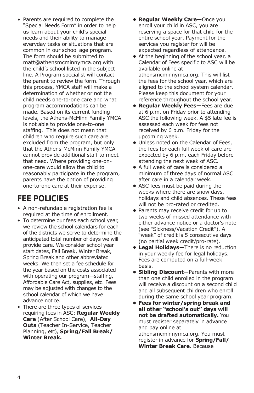<span id="page-3-0"></span>• Parents are required to complete the "Special Needs Form" in order to help us learn about your child's special needs and their ability to manage everyday tasks or situations that are common in our school age program. The form should be submitted to matt@athensmcminnymca.org with the child's school listed in the subject line. A Program specialist will contact the parent to review the form. Through this process, YMCA staff will make a determination of whether or not the child needs one-to-one care and what program accommodations can be made. Based on its current funding levels, the Athens-McMinn Family YMCA is not able to provide one-to-one staffing. This does not mean that children who require such care are excluded from the program, but only that the Athens-McMinn Family YMCA cannot provide additional staff to meet that need. Where providing one-onone-care would allow the child to reasonably participate in the program, parents have the option of providing one-to-one care at their expense.

# **FEE POLICIES**

- A non-refundable registration fee is required at the time of enrollment.
- To determine our fees each school year, we review the school calendars for each of the districts we serve to determine the anticipated total number of days we will provide care. We consider school year start dates, Fall Break, Winter Break, Spring Break and other abbreviated weeks. We then set a fee schedule for the year based on the costs associated with operating our program—staffing, Affordable Care Act, supplies, etc. Fees may be adjusted with changes to the school calendar of which we have advance notice.
- There are three types of services requiring fees in ASC: **Regular Weekly Care** (After School Care), **All-Day Outs** (Teacher In-Service, Teacher Planning, etc), **Spring/Fall Break/ Winter Break.**
- **• Regular Weekly Care—**Once you enroll your child in ASC, you are reserving a space for that child for the entire school year. Payment for the services you register for will be expected regardless of attendance.
- **•** At the beginning of the school year, a Calendar of Fees specific to ASC will be available online at athensmcminnymca.org. This will list the fees for the school year, which are aligned to the school system calendar. Please keep this document for your reference throughout the school year.
- **Regular Weekly Fees—**Fees are due at 6 p.m. on Friday prior to attending ASC the following week. A \$5 late fee is assessed each week for fees not received by 6 p.m. Friday for the upcoming week.
- **•** Unless noted on the Calendar of Fees, the fees for each full week of care are expected by 6 p.m. each Friday before attending the next week of ASC.
- **•** A full week of care is considered a minimum of three days of normal ASC after care in a calendar week.
- **•** ASC fees must be paid during the weeks where there are snow days, holidays and child absences. These fees will not be pro-rated or credited.
- **•** Parents may receive credit for up to two weeks of missed attendance with either advance notice or a doctor's note (see "Sickness/Vacation Credit"). A "week" of credit is 5 consecutive days (no partial week credit/pro-rate).
- **• Legal Holidays—**There is no reduction in your weekly fee for legal holidays. Fees are computed on a full-week basis.
- **• Sibling Discount—**Parents with more than one child enrolled in the program will receive a discount on a second child and all subsequent children who enroll during the same school year program.
- **• Fees for winter/spring break and all other "school's out" days will not be drafted automatically.** You must register separately in advance and pay online at athensmcminnymca.org. You must register in advance for **Spring/Fall/ Winter Break Care**. Because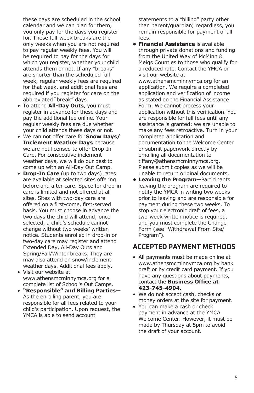these days are scheduled in the school calendar and we can plan for them, you only pay for the days you register for. These full-week breaks are the only weeks when you are not required to pay regular weekly fees. You will be required to pay for the days for which you register, whether your child attends them or not. If any "breaks" are shorter than the scheduled full week, regular weekly fees are required for that week, and additional fees are required if you register for care on the abbreviated "break" days.

- To attend **All-Day Outs**, you must register in advance for these days and pay the additional fee online. Your regular weekly fees are due whether your child attends these days or not.
- We can not offer care for **Snow Days/ Inclement Weather Days** because we are not licensed to offer Drop-In Care. For consecutive inclement weather days, we will do our best to come up with an All-Day Out Camp.
- **Drop-In Care** (up to two days) rates are available at selected sites offering before and after care. Space for drop-in care is limited and not offered at all sites. Sites with two-day care are offered on a first-come, first-served basis. You must choose in advance the two days the child will attend; once selected, a child's schedule cannot change without two weeks' written notice. Students enrolled in drop-in or two-day care may register and attend Extended Day, All-Day Outs and Spring/Fall/Winter breaks. They are may also attend on snow/inclement weather days. Additional fees apply.
- Visit our website at www.athensmcminnymca.org for a complete list of School's Out Camps.
- **"Responsible" and Billing Parties—** As the enrolling parent, you are responsible for all fees related to your child's participation. Upon request, the YMCA is able to send account

statements to a "billing" party other than parent/guardian; regardless, you remain responsible for payment of all fees.

- **• Financial Assistance** is available through private donations and funding from the United Way of McMinn & Meigs Counties to those who qualify for a reduced rate. Contact the YMCA or visit our website at www.athensmcminnymca.org for an application. We require a completed application and verification of income as stated on the Financial Assistance Form. We cannot process your application without this verification. You are responsible for full fees until any assistance is granted; we are unable to make any fees retroactive. Turn in your completed application and documentation to the Welcome Center or submit paperwork directly by emailing all documentation to tiffany@athensmcminnymca.org. Please submit copies as we will be unable to return original documents.
- **Leaving the Program—**Participants leaving the program are required to notify the YMCA in writing two weeks prior to leaving and are responsible for payment during these two weeks. To stop your electronic draft of fees, a two-week written notice is required, and you must complete the Change Form (see "Withdrawal From Site/ Program").

#### ACCEPTED PAYMENT METHODS

- All payments must be made online at www.athensmcminnymca.org by bank draft or by credit card payment. If you have any questions about payments, contact the **Business Office at 423-745-4904**.
- We do not accept cash, checks or money orders at the site for payment.
- You can make a cash or check payment in advance at the YMCA Welcome Center. However, it must be made by Thursday at 5pm to avoid the draft of your account.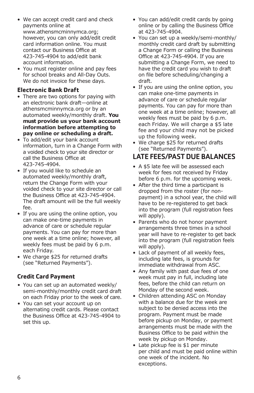- <span id="page-5-0"></span>• We can accept credit card and check payments online at www.athensmcminnymca.org; however, you can only add/edit credit card information online. You must contact our Business Office at 423-745-4904 to add/edit bank account information.
- You must register online and pay fees for school breaks and All-Day Outs. We do not invoice for these days.

#### **Electronic Bank Draft**

- There are two options for paying with an electronic bank draft—online at athensmcminnymca.org or by an automated weekly/monthly draft. **You must provide us your bank account information before attempting to pay online or scheduling a draft.**
- To add/edit your bank account information, turn in a Change Form with a voided check to your site director or call the Business Office at 423-745-4904.
- If you would like to schedule an automated weekly/monthly draft, return the Change Form with your voided check to your site director or call the Business Office at 423-745-4904. The draft amount will be the full weekly fee.
- If you are using the online option, you can make one-time payments in advance of care or schedule regular payments. You can pay for more than one week at a time online; however, all weekly fees must be paid by 6 p.m. each Friday.
- We charge \$25 for returned drafts (see "Returned Payments").

#### **Credit Card Payment**

- You can set up an automated weekly/ semi-monthly/monthly credit card draft on each Friday prior to the week of care.
- You can set your account up on alternating credit cards. Please contact the Business Office at 423-745-4904 to set this up.
- You can add/edit credit cards by going online or by calling the Business Office at 423-745-4904.
- You can set up a weekly/semi-monthly/ monthly credit card draft by submitting a Change Form or calling the Business Office at 423-745-4904. If you are submitting a Change Form, we need to have the credit card you wish to draft on file before scheduling/changing a draft.
- If you are using the online option, you can make one-time payments in advance of care or schedule regular payments. You can pay for more than one week at a time online; however, all weekly fees must be paid by 6 p.m. each Friday. We will charge a \$5 late fee and your child may not be picked up the following week.
- We charge \$25 for returned drafts (see "Returned Payments").

#### LATE FEES/PAST DUE BALANCES

- A \$5 late fee will be assessed each week for fees not received by Friday before 6 p.m. for the upcoming week.
- After the third time a participant is dropped from the roster (for nonpayment) in a school year, the child will have to be re-registered to get back into the program (full registration fees will apply).
- Parents who do not honor payment arrangements three times in a school year will have to re-register to get back into the program (full registration feels will apply).
- Lack of payment of all weekly fees, including late fees, is grounds for immediate withdrawal from ASC.
- Any family with past due fees of one week must pay in full, including late fees, before the child can return on Monday of the second week.
- Children attending ASC on Monday with a balance due for the week are subject to be denied access into the program. Payment must be made before pickup on Monday, or payment arrangements must be made with the Business Office to be paid within the week by pickup on Monday.
- Late pickup fee is \$1 per minute per child and must be paid online within one week of the incident. No exceptions.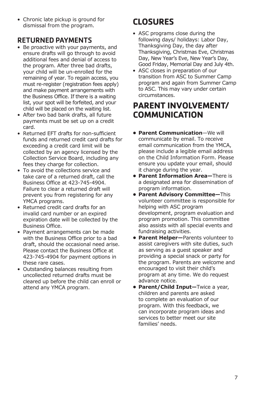<span id="page-6-0"></span>• Chronic late pickup is ground for dismissal from the program.

#### RETURNED PAYMENTS

- Be proactive with your payments, and ensure drafts will go through to avoid additional fees and denial of access to the program. After three bad drafts, your child will be un-enrolled for the remaining of year. To regain access, you must re-register (registration fees apply) and make payment arrangements with the Business Office. If there is a waiting list, your spot will be forfeited, and your child will be placed on the waiting list.
- After two bad bank drafts, all future payments must be set up on a credit card.
- Returned EFT drafts for non-sufficient funds and returned credit card drafts for exceeding a credit card limit will be collected by an agency licensed by the Collection Service Board, including any fees they charge for collection.
- To avoid the collections service and take care of a returned draft, call the Business Office at 423-745-4904. Failure to clear a returned draft will prevent you from registering for any YMCA programs.
- Returned credit card drafts for an invalid card number or an expired expiration date will be collected by the Business Office.
- Payment arrangements can be made with the Business Office prior to a bad draft, should the occasional need arise. Please contact the Business Office at 423-745-4904 for payment options in these rare cases.
- Outstanding balances resulting from uncollected returned drafts must be cleared up before the child can enroll or attend any YMCA program.

# **CLOSURES**

- ASC programs close during the following days/ holidays: Labor Day, Thanksgiving Day, the day after Thanksgiving, Christmas Eve, Christmas Day, New Year's Eve, New Year's Day, Good Friday, Memorial Day and July 4th.
- ASC closes in preparation of our transition from ASC to Summer Camp program and again from Summer Camp to ASC. This may vary under certain circumstances.

## **PARENT INVOLVEMENT/ COMMUNICATION**

- **• Parent Communication**—We will communicate by email. To receive email communication from the YMCA, please include a legible email address on the Child Information Form. Please ensure you update your email, should it change during the year.
- **• Parent Information Area—**There is a designated area for dissemination of program information.
- **• Parent Advisory Committee—**This volunteer committee is responsible for helping with ASC program development, program evaluation and program promotion. This committee also assists with all special events and fundraising activities.
- **• Parent Helper—**Parents volunteer to assist caregivers with site duties, such as serving as a guest speaker and providing a special snack or party for the program. Parents are welcome and encouraged to visit their child's program at any time. We do request advance notice.
- **• Parent/Child Input—**Twice a year, children and parents are asked to complete an evaluation of our program. With this feedback, we can incorporate program ideas and services to better meet our site families' needs.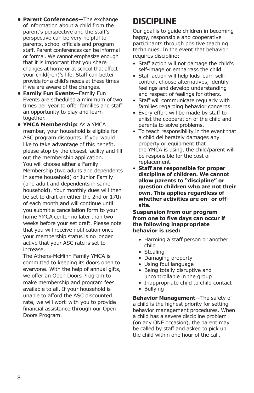- <span id="page-7-0"></span>**• Parent Conferences—**The exchange of information about a child from the parent's perspective and the staff's perspective can be very helpful to parents, school officials and program staff. Parent conferences can be informal or formal. We cannot emphasize enough that it is important that you share changes at home or at school that affect your child(ren)'s life. Staff can better provide for a child's needs at these times if we are aware of the changes.
- **• Family Fun Events—**Family Fun Events are scheduled a minimum of two times per year to offer families and staff an opportunity to play and learn together.
- **• YMCA Membership:** As a YMCA member, your household is eligible for ASC program discounts. If you would like to take advantage of this benefit, please stop by the closest facility and fill out the membership application. You will choose either a Family Membership (two adults and dependents in same household) or Junior Family (one adult and dependents in same household). Your monthly dues will then be set to draft on either the 2nd or 17th of each month and will continue until you submit a cancellation form to your home YMCA center no later than two weeks before your set draft. Please note that you will receive notification once your membership status is no longer active that your ASC rate is set to increase.

The Athens-McMinn Family YMCA is committed to keeping its doors open to everyone. With the help of annual gifts, we offer an Open Doors Program to make membership and program fees available to all. If your household is unable to afford the ASC discounted rate, we will work with you to provide financial assistance through our Open Doors Program.

# **DISCIPLINE**

Our goal is to guide children in becoming happy, responsible and cooperative participants through positive teaching techniques. In the event that behavior requires discipline:

- Staff action will not damage the child's self-image or embarrass the child.
- Staff action will help kids learn selfcontrol, choose alternatives, identify feelings and develop understanding and respect of feelings for others.
- Staff will communicate regularly with families regarding behavior concerns.
- Every effort will be made by staff to enlist the cooperation of the child and parents to solve problems.
- To teach responsibility in the event that a child deliberately damages any property or equipment that the YMCA is using, the child/parent will be responsible for the cost of replacement.
- **Staff are responsible for proper discipline of children. We cannot allow parents to "discipline" or question children who are not their own. This applies regardless of whether activities are on- or offsite.**

#### **Suspension from our program from one to five days can occur if the following inappropriate behavior is used:**

- Harming a staff person or another child
- Stealing
- Damaging property
- Using foul language
- Being totally disruptive and uncontrollable in the group
- Inappropriate child to child contact
- Bullying

**Behavior Management—**The safety of a child is the highest priority for setting behavior management procedures. When a child has a severe discipline problem (on any ONE occasion), the parent may be called by staff and asked to pick up the child within one hour of the call.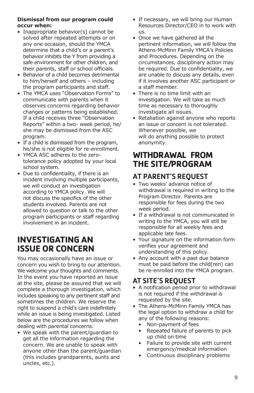#### <span id="page-8-0"></span>**Dismissal from our program could occur when:**

- Inappropriate behavior(s) cannot be solved after repeated attempts or on any one occasion, should the YMCA determine that a child's or a parent's behavior inhibits the Y from providing a safe environment for other children, and their parents, staff or school officials.
- Behavior of a child becomes detrimental to him/herself and others – including the program participants and staff.
- The YMCA uses "Observation Forms" to communicate with parents when it observes concerns regarding behavior changes or patterns being established. If a child receives three "Observation Reports" within a two- week period, he/ she may be dismissed from the ASC program.
- If a child is dismissed from the program, he/she is not eligible for re-enrollment.
- YMCA ASC adheres to the zerotolerance policy adopted by your local school system.
- Due to confidentiality, if there is an incident involving multiple participants, we will conduct an investigation according to YMCA policy. We will not discuss the specifics of the other students involved. Parents are not allowed to question or talk to the other program participants or staff regarding involvement in an incident.

# **INVESTIGATING AN ISSUE OR CONCERN**

You may occasionally have an issue or concern you wish to bring to our attention. We welcome your thoughts and comments. In the event you have reported an issue at the site, please be assured that we will complete a thorough investigation, which includes speaking to any pertinent staff and sometimes the children. We reserve the right to suspend a child's care indefinitely while an issue is being investigated. Listed below are the procedures we follow when dealing with parental concerns:

• We speak with the parent/guardian to get all the information regarding the concern. We are unable to speak with anyone other than the parent/guardian (this includes grandparents, aunts and uncles, etc.).

- If necessary, we will bring our Human Resources Director/CEO in to work with us.
- Once we have gathered all the pertinent information, we will follow the Athens-McMinn Family YMCA's Policies and Procedures. Depending on the circumstances, disciplinary action may be required. Due to confidentiality, we are unable to discuss any details, even if it involves another ASC participant or a staff member.
- There is no time limit with an investigation. We will take as much time as necessary to thoroughly investigate all issues.
- Retaliation against anyone who reports an issue or concern is not tolerated. Whenever possible, we will do anything possible to protect anonymity.

# **WITHDRAWAL FROM THE SITE/PROGRAM**

#### AT PARENT'S REQUEST

- Two weeks' advance notice of withdrawal is required in writing to the Program Director. Parents are responsible for fees during the two week period.
- If a withdrawal is not communicated in writing to the YMCA, you will still be responsible for all weekly fees and applicable late fees.
- Your signature on the information form verifies your agreement and understanding of this policy.
- Any account with a past due balance must be paid before the child(ren) can be re-enrolled into the YMCA program.

#### AT SITE'S REQUEST

- A notification period prior to withdrawal is not required if the withdrawal is requested by the site.
- The Athens-McMinn Family YMCA has the legal option to withdraw a child for any of the following reasons:
	- Non-payment of fees
	- Repeated failure of parents to pick up child on time
	- Failure to provide site with current emergency/medical information
	- Continuous disciplinary problems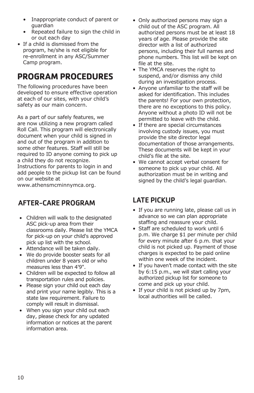- <span id="page-9-0"></span>• Inappropriate conduct of parent or guardian
- Repeated failure to sign the child in or out each day
- If a child is dismissed from the program, he/she is not eligible for re-enrollment in any ASC/Summer Camp program.

# **PROGRAM PROCEDURES**

The following procedures have been developed to ensure effective operation at each of our sites, with your child's safety as our main concern.

As a part of our safely features, we are now utilizing a new program called Roll Call. This program will electronically document when your child is signed in and out of the program in addition to some other features. Staff will still be required to ID anyone coming to pick up a child they do not recognize. Instructions for parents to login in and add people to the pickup list can be found on our website at

www.athensmcminnymca.org.

#### AFTER-CARE PROGRAM

- Children will walk to the designated ASC pick-up area from their classrooms daily. Please list the YMCA for pick-up on your child's approved pick up list with the school.
- Attendance will be taken daily.
- We do provide booster seats for all children under 8 years old or who measures less than 4'9".
- Children will be expected to follow all transportation rules and policies.
- Please sign your child out each day and print your name legibly. This is a state law requirement. Failure to comply will result in dismissal.
- When you sign your child out each day, please check for any updated information or notices at the parent information area.
- Only authorized persons may sign a child out of the ASC program. All authorized persons must be at least 18 years of age. Please provide the site director with a list of authorized persons, including their full names and phone numbers. This list will be kept on file at the site.
- The YMCA reserves the right to suspend, and/or dismiss any child during an investigation process.
- Anyone unfamiliar to the staff will be asked for identification. This includes the parents! For your own protection, there are no exceptions to this policy. Anyone without a photo ID will not be permitted to leave with the child.
- If there are special circumstances involving custody issues, you must provide the site director legal documentation of those arrangements. These documents will be kept in your child's file at the site.
- We cannot accept verbal consent for someone to pick up your child. All authorization must be in writing and signed by the child's legal guardian.

#### LATE PICKUP

- If you are running late, please call us in advance so we can plan appropriate staffing and reassure your child.
- Staff are scheduled to work until 6 p.m. We charge \$1 per minute per child for every minute after 6 p.m. that your child is not picked up. Payment of those charges is expected to be paid online within one week of the incident.
- If you haven't made contact with the site by 6:15 p.m., we will start calling your authorized pickup list for someone to come and pick up your child.
- If your child is not picked up by 7pm, local authorities will be called.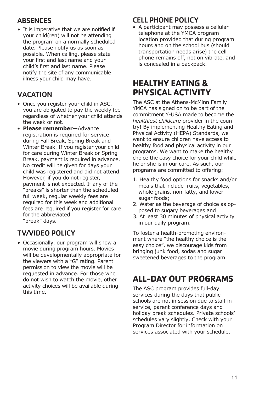#### <span id="page-10-0"></span>**ABSENCES**

• It is imperative that we are notified if your child(ren) will not be attending the program on a normally scheduled date. Please notify us as soon as possible. When calling, please state your first and last name and your child's first and last name. Please notify the site of any communicable illness your child may have.

#### VACATION

- Once you register your child in ASC, you are obligated to pay the weekly fee regardless of whether your child attends the week or not.
- **Please remember—**Advance registration is required for service during Fall Break, Spring Break and Winter Break. If you register your child for care during Winter Break or Spring Break, payment is required in advance. No credit will be given for days your child was registered and did not attend. However, if you do not register, payment is not expected. If any of the "breaks" is shorter than the scheduled full week, regular weekly fees are required for this week and additional fees are required if you register for care for the abbreviated "break" days.

## TV/VIDEO POLICY

• Occasionally, our program will show a movie during program hours. Movies will be developmentally appropriate for the viewers with a "G" rating. Parent permission to view the movie will be requested in advance. For those who do not wish to watch the movie, other activity choices will be available during this time.

#### CELL PHONE POLICY

• A participant may possess a cellular telephone at the YMCA program location provided that during program hours and on the school bus (should transportation needs arise) the cell phone remains off, not on vibrate, and is concealed in a backpack.

# **HEALTHY EATING & PHYSICAL ACTIVITY**

The ASC at the Athens-McMinn Family YMCA has signed on to be part of the commitment Y-USA made to become the *healthiest childcare* provider in the country! By implementing Healthy Eating and Physical Activity (HEPA) Standards, we want to ensure children have access to healthy food and physical activity in our programs. We want to make the healthy choice the easy choice for your child while he or she is in our care. As such, our programs are committed to offering:

- 1. Healthy food options for snacks and/or meals that include fruits, vegetables, whole grains, non-fatty, and lower sugar foods:
- 2. Water as the beverage of choice as opposed to sugary beverages and
- 3. At least 30 minutes of physical activity in our daily program.

To foster a health-promoting environment where "the healthy choice is the easy choice", we discourage kids from bringing junk food, sodas and sugar sweetened beverages to the program.

# **ALL-DAY OUT PROGRAMS**

The ASC program provides full-day services during the days that public schools are not in session due to staff inservice, parent conference days and holiday break schedules. Private schools' schedules vary slightly. Check with your Program Director for information on services associated with your schedule.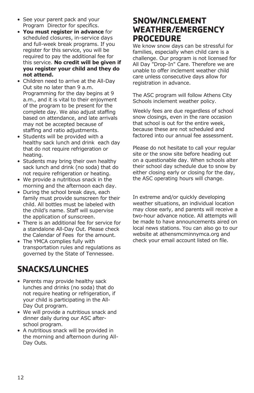- <span id="page-11-0"></span>• See your parent pack and your Program Director for specifics.
- **You must register in advance** for scheduled closures, in-service days and full-week break programs. If you register for this service, you will be required to pay the additional fee for this service. **No credit will be given if you register your child and they do not attend.**
- Children need to arrive at the All-Day Out site no later than 9 a.m. Programming for the day begins at 9 a.m., and it is vital to their enjoyment of the program to be present for the complete day. We also adjust staffing based on attendance, and late arrivals may not be accepted because of staffing and ratio adjustments.
- Students will be provided with a healthy sack lunch and drink each day that do not require refrigeration or heating.
- Students may bring their own healthy sack lunch and drink (no soda) that do not require refrigeration or heating.
- We provide a nutritious snack in the morning and the afternoon each day.
- During the school break days, each family must provide sunscreen for their child. All bottles must be labeled with the child's name. Staff will supervise the application of sunscreen.
- There is an additional fee for service for a standalone All-Day Out. Please check the Calendar of Fees for the amount.
- The YMCA complies fully with transportation rules and regulations as governed by the State of Tennessee.

# **SNACKS/LUNCHES**

- Parents may provide healthy sack lunches and drinks (no soda) that do not require heating or refrigeration, if your child is participating in the All-Day Out program.
- We will provide a nutritious snack and dinner daily during our ASC afterschool program.
- A nutritious snack will be provided in the morning and afternoon during All-Day Outs.

## **SNOW/INCLEMENT WEATHER/EMERGENCY PROCEDURE**

We know snow days can be stressful for families, especially when child care is a challenge. Our program is not licensed for All Day "Drop-In" Care. Therefore we are unable to offer inclement weather child care unless consecutive days allow for registration in advance.

The ASC program will follow Athens City Schools inclement weather policy.

Weekly fees are due regardless of school snow closings, even in the rare occasion that school is out for the entire week, because these are not scheduled and factored into our annual fee assessment.

Please do not hesitate to call your regular site or the snow site before heading out on a questionable day. When schools alter their school day schedule due to snow by either closing early or closing for the day, the ASC operating hours will change.

In extreme and/or quickly developing weather situations, an individual location may close early, and parents will receive a two-hour advance notice. All attempts will be made to have announcements aired on local news stations. You can also go to our website at athensmcminnymca.org and check your email account listed on file.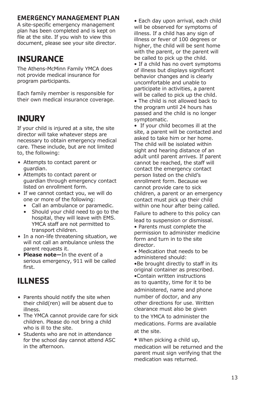#### EMERGENCY MANAGEMENT PLAN

A site-specific emergency management plan has been completed and is kept on file at the site. If you wish to view this document, please see your site director.

# **INSURANCE**

The Athens-McMinn Family YMCA does not provide medical insurance for program participants.

Each family member is responsible for their own medical insurance coverage.

# **INJURY**

If your child is injured at a site, the site director will take whatever steps are necessary to obtain emergency medical care. These include, but are not limited to, the following:

- Attempts to contact parent or guardian.
- Attempts to contact parent or guardian through emergency contact listed on enrollment form.
- If we cannot contact you, we will do one or more of the following:
	- Call an ambulance or paramedic.
	- Should your child need to go to the hospital, they will leave with EMS. YMCA staff are not permitted to transport children.
- In a non-life threatening situation, we will not call an ambulance unless the parent requests it.
- **Please note—**In the event of a serious emergency, 911 will be called first.

# **ILLNESS**

- Parents should notify the site when their child(ren) will be absent due to illness.
- The YMCA cannot provide care for sick children. Please do not bring a child who is ill to the site.
- Students who are not in attendance for the school day cannot attend ASC in the afternoon.

• Each day upon arrival, each child will be observed for symptoms of illness. If a child has any sign of illness or fever of 100 degrees or higher, the child will be sent home with the parent, or the parent will be called to pick up the child.

• If a child has no overt symptoms of illness but displays significant behavior changes and is clearly uncomfortable and unable to participate in activities, a parent will be called to pick up the child. • The child is not allowed back to the program until 24 hours has

passed and the child is no longer symptomatic.

• If your child becomes ill at the site, a parent will be contacted and asked to take him or her home. The child will be isolated within sight and hearing distance of an adult until parent arrives. If parent cannot be reached, the staff will contact the emergency contact person listed on the child's enrollment form. Because we cannot provide care to sick children, a parent or an emergency contact must pick up their child within one hour after being called.

Failure to adhere to this policy can lead to suspension or dismissal.

• Parents must complete the permission to administer medicine form and turn in to the site director.

• Medication that needs to be administered should: •Be brought directly to staff in its original container as prescribed. •Contain written instructions as to quantity, time for it to be administered, name and phone number of doctor, and any other directions for use. Written clearance must also be given to the YMCA to administer the medications. Forms are available at the site.

• When picking a child up, medication will be returned and the parent must sign verifying that the medication was returned.